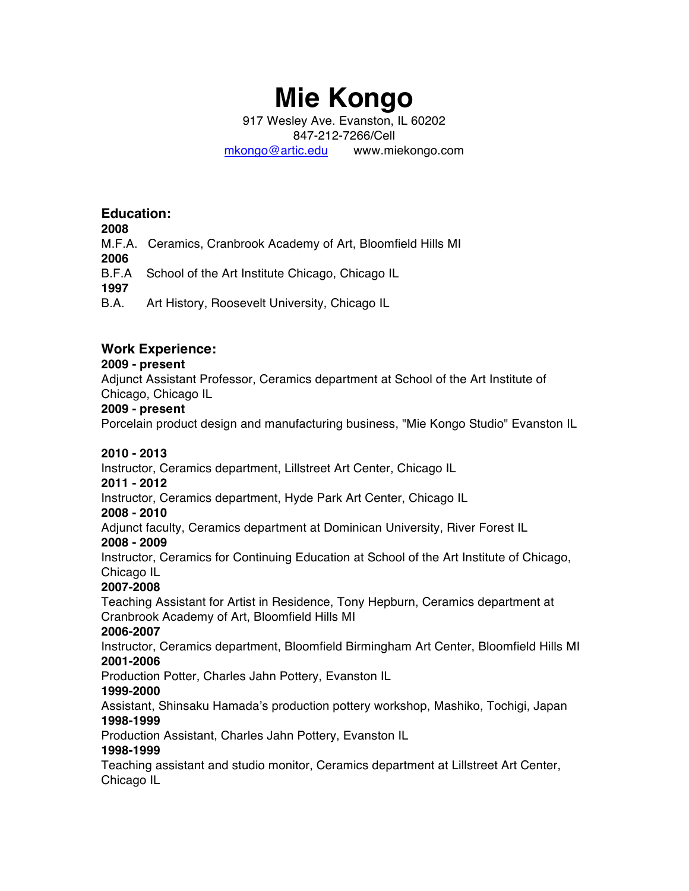# **Mie Kongo**

917 Wesley Ave. Evanston, IL 60202 847-212-7266/Cell mkongo@artic.edu www.miekongo.com

# **Education:**

**2008**

M.F.A. Ceramics, Cranbrook Academy of Art, Bloomfield Hills MI

**2006**

B.F.A School of the Art Institute Chicago, Chicago IL

**1997**

B.A. Art History, Roosevelt University, Chicago IL

# **Work Experience:**

# **2009 - present**

Adjunct Assistant Professor, Ceramics department at School of the Art Institute of Chicago, Chicago IL

## **2009 - present**

Porcelain product design and manufacturing business, "Mie Kongo Studio" Evanston IL

# **2010 - 2013**

Instructor, Ceramics department, Lillstreet Art Center, Chicago IL

## **2011 - 2012**

Instructor, Ceramics department, Hyde Park Art Center, Chicago IL

## **2008 - 2010**

Adjunct faculty, Ceramics department at Dominican University, River Forest IL

## **2008 - 2009**

Instructor, Ceramics for Continuing Education at School of the Art Institute of Chicago, Chicago IL

# **2007-2008**

Teaching Assistant for Artist in Residence, Tony Hepburn, Ceramics department at Cranbrook Academy of Art, Bloomfield Hills MI

# **2006-2007**

Instructor, Ceramics department, Bloomfield Birmingham Art Center, Bloomfield Hills MI **2001-2006** 

Production Potter, Charles Jahn Pottery, Evanston IL

# **1999-2000**

Assistant, Shinsaku Hamada's production pottery workshop, Mashiko, Tochigi, Japan **1998-1999** 

Production Assistant, Charles Jahn Pottery, Evanston IL

# **1998-1999**

Teaching assistant and studio monitor, Ceramics department at Lillstreet Art Center, Chicago IL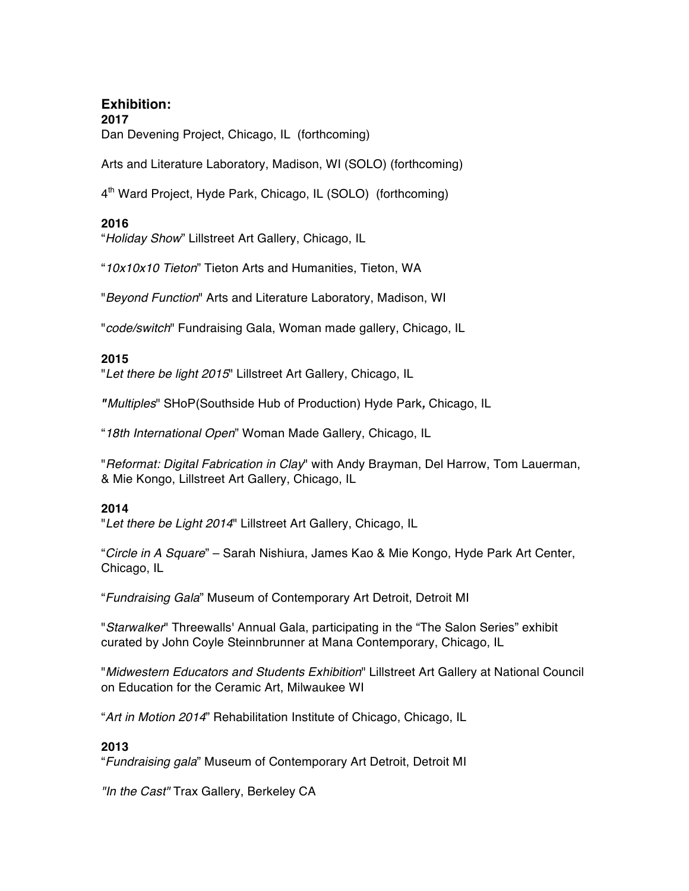# **Exhibition: 2017** Dan Devening Project, Chicago, IL (forthcoming)

Arts and Literature Laboratory, Madison, WI (SOLO) (forthcoming)

4<sup>th</sup> Ward Project, Hyde Park, Chicago, IL (SOLO) (forthcoming)

# **2016**

"*Holiday Show*" Lillstreet Art Gallery, Chicago, IL

"*10x10x10 Tieton*" Tieton Arts and Humanities, Tieton, WA

"*Beyond Function*" Arts and Literature Laboratory, Madison, WI

"*code/switch*" Fundraising Gala, Woman made gallery, Chicago, IL

## **2015**

"*Let there be light 2015*" Lillstreet Art Gallery, Chicago, IL

*"Multiples*" SHoP(Southside Hub of Production) Hyde Park*,* Chicago, IL

"*18th International Open*" Woman Made Gallery, Chicago, IL

"*Reformat: Digital Fabrication in Clay*" with Andy Brayman, Del Harrow, Tom Lauerman, & Mie Kongo, Lillstreet Art Gallery, Chicago, IL

## **2014**

"*Let there be Light 2014*" Lillstreet Art Gallery, Chicago, IL

"*Circle in A Square*" – Sarah Nishiura, James Kao & Mie Kongo, Hyde Park Art Center, Chicago, IL

"*Fundraising Gala*" Museum of Contemporary Art Detroit, Detroit MI

"*Starwalker*" Threewalls' Annual Gala, participating in the "The Salon Series" exhibit curated by John Coyle Steinnbrunner at Mana Contemporary, Chicago, IL

"*Midwestern Educators and Students Exhibition*" Lillstreet Art Gallery at National Council on Education for the Ceramic Art, Milwaukee WI

"*Art in Motion 2014*" Rehabilitation Institute of Chicago, Chicago, IL

# **2013**

"*Fundraising gala*" Museum of Contemporary Art Detroit, Detroit MI

*"In the Cast"* Trax Gallery, Berkeley CA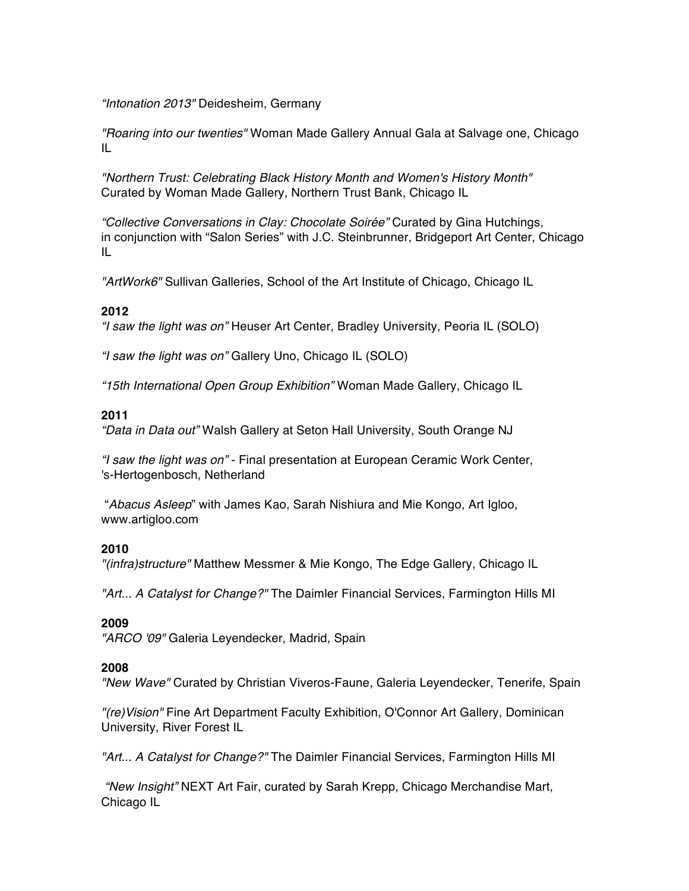*"Intonation 2013"* Deidesheim, Germany

*"Roaring into our twenties"* Woman Made Gallery Annual Gala at Salvage one, Chicago IL

*"Northern Trust: Celebrating Black History Month and Women's History Month"* Curated by Woman Made Gallery, Northern Trust Bank, Chicago IL

*"Collective Conversations in Clay: Chocolate Soirée"* Curated by Gina Hutchings, in conjunction with "Salon Series" with J.C. Steinbrunner, Bridgeport Art Center, Chicago IL

*"ArtWork6"* Sullivan Galleries, School of the Art Institute of Chicago, Chicago IL

# **2012**

*"I saw the light was on"* Heuser Art Center, Bradley University, Peoria IL (SOLO)

*"I saw the light was on"* Gallery Uno, Chicago IL (SOLO)

*"15th International Open Group Exhibition"* Woman Made Gallery, Chicago IL

## **2011**

*"Data in Data out"* Walsh Gallery at Seton Hall University, South Orange NJ

*"I saw the light was on"* - Final presentation at European Ceramic Work Center, 's-Hertogenbosch, Netherland

"*Abacus Asleep*" with James Kao, Sarah Nishiura and Mie Kongo, Art Igloo, www.artigloo.com

## **2010**

*"(infra)structure"* Matthew Messmer & Mie Kongo, The Edge Gallery, Chicago IL

*"Art... A Catalyst for Change?"* The Daimler Financial Services, Farmington Hills MI

## **2009**

*"ARCO '09"* Galeria Leyendecker, Madrid, Spain

## **2008**

*"New Wave"* Curated by Christian Viveros-Faune, Galeria Leyendecker, Tenerife, Spain

*"(re)Vision"* Fine Art Department Faculty Exhibition, O'Connor Art Gallery, Dominican University, River Forest IL

*"Art... A Catalyst for Change?"* The Daimler Financial Services, Farmington Hills MI

*"New Insight"* NEXT Art Fair, curated by Sarah Krepp, Chicago Merchandise Mart, Chicago IL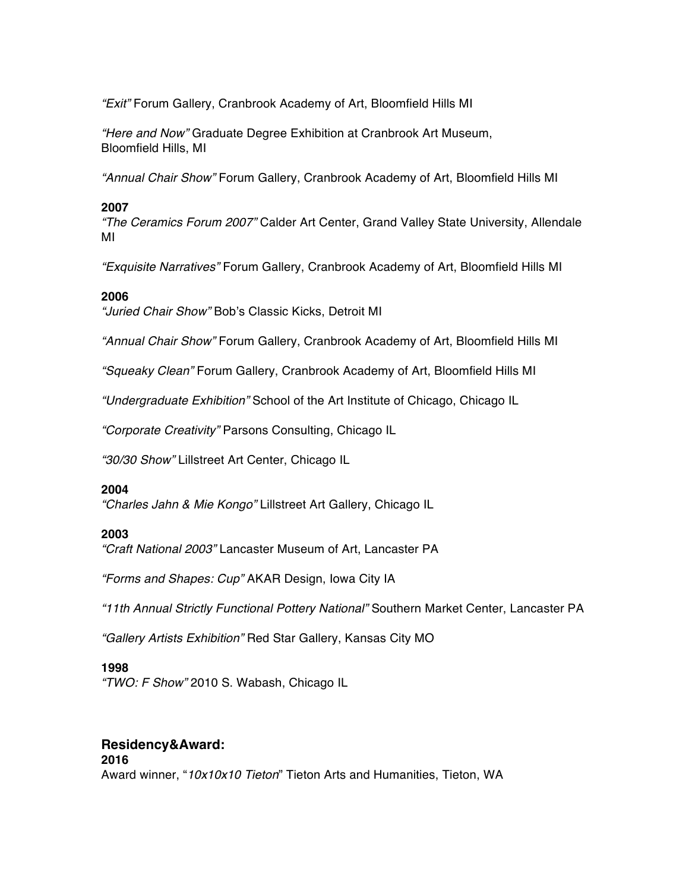*"Exit"* Forum Gallery, Cranbrook Academy of Art, Bloomfield Hills MI

*"Here and Now"* Graduate Degree Exhibition at Cranbrook Art Museum, Bloomfield Hills, MI

*"Annual Chair Show"* Forum Gallery, Cranbrook Academy of Art, Bloomfield Hills MI

## **2007**

*"The Ceramics Forum 2007"* Calder Art Center, Grand Valley State University, Allendale MI

*"Exquisite Narratives"* Forum Gallery, Cranbrook Academy of Art, Bloomfield Hills MI

#### **2006**

*"Juried Chair Show"* Bob's Classic Kicks, Detroit MI

*"Annual Chair Show"* Forum Gallery, Cranbrook Academy of Art, Bloomfield Hills MI

*"Squeaky Clean"* Forum Gallery, Cranbrook Academy of Art, Bloomfield Hills MI

*"Undergraduate Exhibition"* School of the Art Institute of Chicago, Chicago IL

*"Corporate Creativity"* Parsons Consulting, Chicago IL

*"30/30 Show"* Lillstreet Art Center, Chicago IL

#### **2004**

*"Charles Jahn & Mie Kongo"* Lillstreet Art Gallery, Chicago IL

#### **2003**

*"Craft National 2003"* Lancaster Museum of Art, Lancaster PA

*"Forms and Shapes: Cup"* AKAR Design, Iowa City IA

*"11th Annual Strictly Functional Pottery National"* Southern Market Center, Lancaster PA

*"Gallery Artists Exhibition"* Red Star Gallery, Kansas City MO

#### **1998**

*"TWO: F Show"* 2010 S. Wabash, Chicago IL

# **Residency&Award:**

**2016** Award winner, "*10x10x10 Tieton*" Tieton Arts and Humanities, Tieton, WA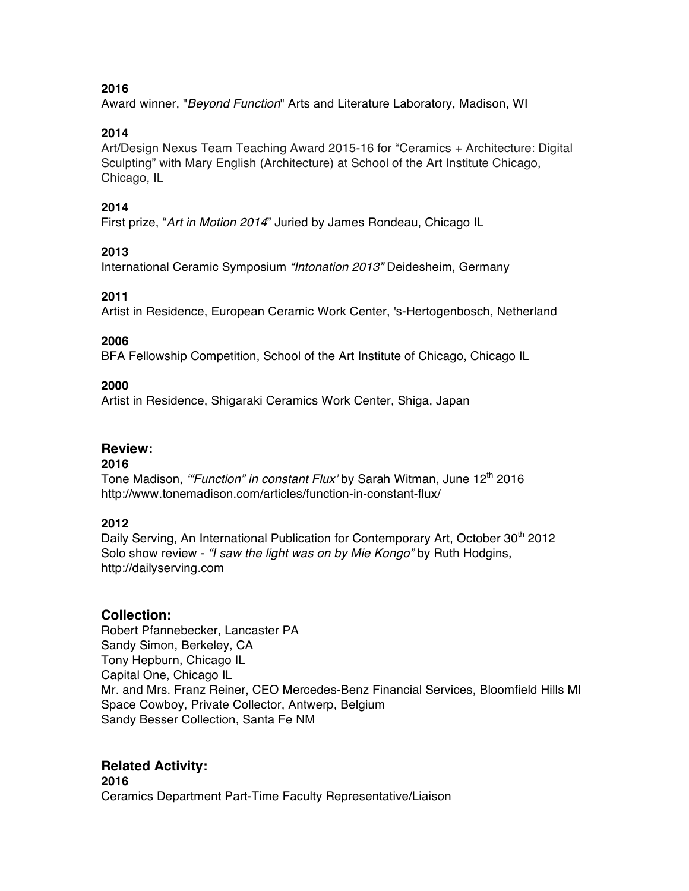**2016**

Award winner, "*Beyond Function*" Arts and Literature Laboratory, Madison, WI

## **2014**

Art/Design Nexus Team Teaching Award 2015-16 for "Ceramics + Architecture: Digital Sculpting" with Mary English (Architecture) at School of the Art Institute Chicago, Chicago, IL

# **2014**

First prize, "*Art in Motion 2014*" Juried by James Rondeau, Chicago IL

# **2013**

International Ceramic Symposium *"Intonation 2013"* Deidesheim, Germany

# **2011**

Artist in Residence, European Ceramic Work Center, 's-Hertogenbosch, Netherland

## **2006**

BFA Fellowship Competition, School of the Art Institute of Chicago, Chicago IL

## **2000**

Artist in Residence, Shigaraki Ceramics Work Center, Shiga, Japan

## **Review:**

## **2016**

Tone Madison, "Function" in constant Flux' by Sarah Witman, June 12<sup>th</sup> 2016 http://www.tonemadison.com/articles/function-in-constant-flux/

## **2012**

Daily Serving, An International Publication for Contemporary Art, October 30<sup>th</sup> 2012 Solo show review - *"I saw the light was on by Mie Kongo"* by Ruth Hodgins, http://dailyserving.com

# **Collection:**

Robert Pfannebecker, Lancaster PA Sandy Simon, Berkeley, CA Tony Hepburn, Chicago IL Capital One, Chicago IL Mr. and Mrs. Franz Reiner, CEO Mercedes-Benz Financial Services, Bloomfield Hills MI Space Cowboy, Private Collector, Antwerp, Belgium Sandy Besser Collection, Santa Fe NM

# **Related Activity:**

**2016** Ceramics Department Part-Time Faculty Representative/Liaison